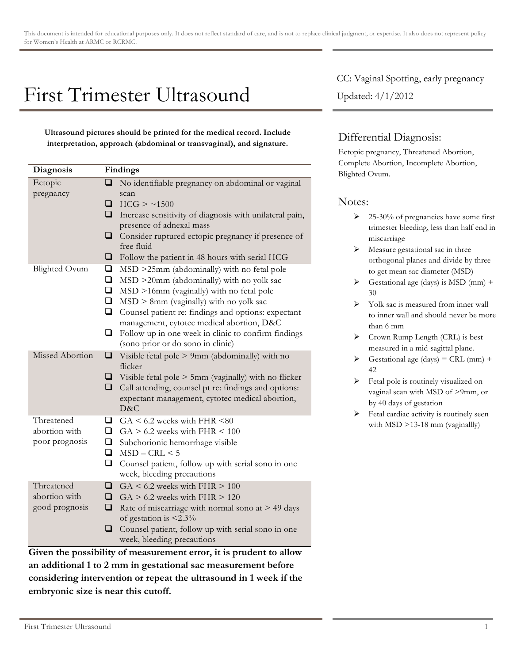## First Trimester Ultrasound

**Ultrasound pictures should be printed for the medical record. Include interpretation, approach (abdominal or transvaginal), and signature.**

| Diagnosis                                     | Findings                        |                                                                                                                                                                                                                                                                                                                                                                                    |
|-----------------------------------------------|---------------------------------|------------------------------------------------------------------------------------------------------------------------------------------------------------------------------------------------------------------------------------------------------------------------------------------------------------------------------------------------------------------------------------|
| Ectopic<br>pregnancy                          | ❏<br>❏                          | No identifiable pregnancy on abdominal or vaginal<br>scan<br>HCG > 1500                                                                                                                                                                                                                                                                                                            |
|                                               | ❏<br>⊔<br>❏                     | Increase sensitivity of diagnosis with unilateral pain,<br>presence of adnexal mass<br>Consider ruptured ectopic pregnancy if presence of<br>free fluid<br>Follow the patient in 48 hours with serial HCG                                                                                                                                                                          |
| <b>Blighted Ovum</b>                          | ❏<br>❏<br>❏<br>$\Box$<br>□<br>❏ | MSD >25mm (abdominally) with no fetal pole<br>$MSD > 20$ mm (abdominally) with no yolk sac<br>MSD >16mm (vaginally) with no fetal pole<br>$MSD > 8mm$ (vaginally) with no yolk sac<br>Counsel patient re: findings and options: expectant<br>management, cytotec medical abortion, D&C<br>Follow up in one week in clinic to confirm findings<br>(sono prior or do sono in clinic) |
| Missed Abortion                               | ❏<br>❏<br>◻                     | Visible fetal pole $> 9$ mm (abdominally) with no<br>flicker<br>Visible fetal pole > 5mm (vaginally) with no flicker<br>Call attending, counsel pt re: findings and options:<br>expectant management, cytotec medical abortion,<br>D&C                                                                                                                                             |
| Threatened<br>abortion with<br>poor prognosis | □<br>□<br>$\Box$<br>$\Box$<br>❏ | $GA \leq 6.2$ weeks with FHR $\leq 80$<br>$GA > 6.2$ weeks with FHR $\leq 100$<br>Subchorionic hemorrhage visible<br>$MSD - CRL < 5$<br>Counsel patient, follow up with serial sono in one<br>week, bleeding precautions                                                                                                                                                           |
| Threatened<br>abortion with<br>good prognosis | ❏<br>❏<br>❏<br>❏                | $GA \leq 6.2$ weeks with FHR $> 100$<br>$GA > 6.2$ weeks with $FHR > 120$<br>Rate of miscarriage with normal sono at $> 49$ days<br>of gestation is $\leq 2.3\%$<br>Counsel patient, follow up with serial sono in one<br>week, bleeding precautions                                                                                                                               |

**Given the possibility of measurement error, it is prudent to allow an additional 1 to 2 mm in gestational sac measurement before considering intervention or repeat the ultrasound in 1 week if the embryonic size is near this cutoff.**

CC: Vaginal Spotting, early pregnancy Updated: 4/1/2012

## Differential Diagnosis:

Ectopic pregnancy, Threatened Abortion, Complete Abortion, Incomplete Abortion, Blighted Ovum.

## Notes:

- $\geq 25-30\%$  of pregnancies have some first trimester bleeding, less than half end in miscarriage
- $\triangleright$  Measure gestational sac in three orthogonal planes and divide by three to get mean sac diameter (MSD)
- $\triangleright$  Gestational age (days) is MSD (mm) + 30
- $\triangleright$  Yolk sac is measured from inner wall to inner wall and should never be more than 6 mm
- $\triangleright$  Crown Rump Length (CRL) is best measured in a mid-sagittal plane.
- $\triangleright$  Gestational age (days) = CRL (mm) + 42
- $\triangleright$  Fetal pole is routinely visualized on vaginal scan with MSD of >9mm, or by 40 days of gestation
- $\blacktriangleright$  Fetal cardiac activity is routinely seen with MSD >13-18 mm (vaginallly)